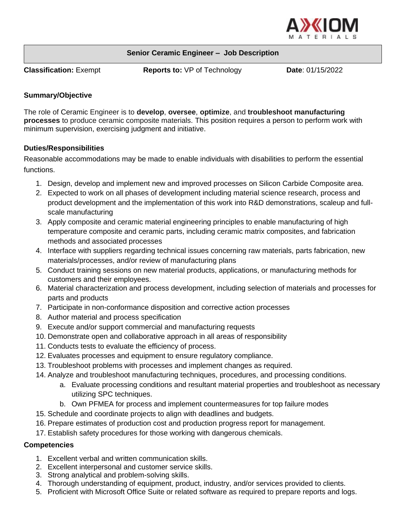

### **Senior Ceramic Engineer – Job Description**

**Classification:** Exempt **Reports to:** VP of Technology **Date**: 01/15/2022

### **Summary/Objective**

The role of Ceramic Engineer is to **develop**, **oversee**, **optimize**, and **troubleshoot manufacturing processes** to produce ceramic composite materials. This position requires a person to perform work with minimum supervision, exercising judgment and initiative.

# **Duties/Responsibilities**

Reasonable accommodations may be made to enable individuals with disabilities to perform the essential functions.

- 1. Design, develop and implement new and improved processes on Silicon Carbide Composite area.
- 2. Expected to work on all phases of development including material science research, process and product development and the implementation of this work into R&D demonstrations, scaleup and fullscale manufacturing
- 3. Apply composite and ceramic material engineering principles to enable manufacturing of high temperature composite and ceramic parts, including ceramic matrix composites, and fabrication methods and associated processes
- 4. Interface with suppliers regarding technical issues concerning raw materials, parts fabrication, new materials/processes, and/or review of manufacturing plans
- 5. Conduct training sessions on new material products, applications, or manufacturing methods for customers and their employees.
- 6. Material characterization and process development, including selection of materials and processes for parts and products
- 7. Participate in non-conformance disposition and corrective action processes
- 8. Author material and process specification
- 9. Execute and/or support commercial and manufacturing requests
- 10. Demonstrate open and collaborative approach in all areas of responsibility
- 11. Conducts tests to evaluate the efficiency of process.
- 12. Evaluates processes and equipment to ensure regulatory compliance.
- 13. Troubleshoot problems with processes and implement changes as required.
- 14. Analyze and troubleshoot manufacturing techniques, procedures, and processing conditions.
	- a. Evaluate processing conditions and resultant material properties and troubleshoot as necessary utilizing SPC techniques.
	- b. Own PFMEA for process and implement countermeasures for top failure modes
- 15. Schedule and coordinate projects to align with deadlines and budgets.
- 16. Prepare estimates of production cost and production progress report for management.
- 17. Establish safety procedures for those working with dangerous chemicals.

### **Competencies**

- 1. Excellent verbal and written communication skills.
- 2. Excellent interpersonal and customer service skills.
- 3. Strong analytical and problem-solving skills.
- 4. Thorough understanding of equipment, product, industry, and/or services provided to clients.
- 5. Proficient with Microsoft Office Suite or related software as required to prepare reports and logs.